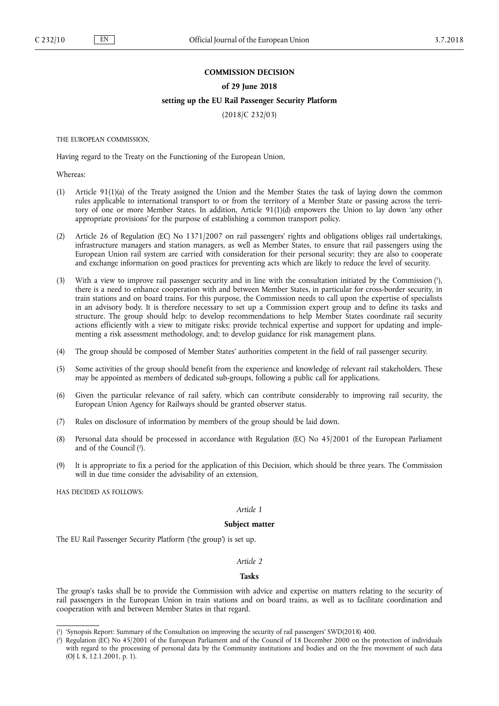### **COMMISSION DECISION**

#### **of 29 June 2018**

### **setting up the EU Rail Passenger Security Platform**

(2018/C 232/03)

THE EUROPEAN COMMISSION,

Having regard to the Treaty on the Functioning of the European Union,

Whereas:

- (1) Article 91(1)(a) of the Treaty assigned the Union and the Member States the task of laying down the common rules applicable to international transport to or from the territory of a Member State or passing across the territory of one or more Member States. In addition, Article 91(1)(d) empowers the Union to lay down 'any other appropriate provisions' for the purpose of establishing a common transport policy.
- (2) Article 26 of Regulation (EC) No 1371/2007 on rail passengers' rights and obligations obliges rail undertakings, infrastructure managers and station managers, as well as Member States, to ensure that rail passengers using the European Union rail system are carried with consideration for their personal security; they are also to cooperate and exchange information on good practices for preventing acts which are likely to reduce the level of security.
- (3) With a view to improve rail passenger security and in line with the consultation initiated by the Commission ( 1 ), there is a need to enhance cooperation with and between Member States, in particular for cross-border security, in train stations and on board trains. For this purpose, the Commission needs to call upon the expertise of specialists in an advisory body. It is therefore necessary to set up a Commission expert group and to define its tasks and structure. The group should help: to develop recommendations to help Member States coordinate rail security actions efficiently with a view to mitigate risks; provide technical expertise and support for updating and implementing a risk assessment methodology, and; to develop guidance for risk management plans.
- (4) The group should be composed of Member States' authorities competent in the field of rail passenger security.
- (5) Some activities of the group should benefit from the experience and knowledge of relevant rail stakeholders. These may be appointed as members of dedicated sub-groups, following a public call for applications.
- (6) Given the particular relevance of rail safety, which can contribute considerably to improving rail security, the European Union Agency for Railways should be granted observer status.
- (7) Rules on disclosure of information by members of the group should be laid down.
- (8) Personal data should be processed in accordance with Regulation (EC) No 45/2001 of the European Parliament and of the Council ( 2 ).
- (9) It is appropriate to fix a period for the application of this Decision, which should be three years. The Commission will in due time consider the advisability of an extension,

HAS DECIDED AS FOLLOWS:

### *Article 1*

#### **Subject matter**

The EU Rail Passenger Security Platform ('the group') is set up.

### *Article 2*

## **Tasks**

The group's tasks shall be to provide the Commission with advice and expertise on matters relating to the security of rail passengers in the European Union in train stations and on board trains, as well as to facilitate coordination and cooperation with and between Member States in that regard.

<sup>(</sup> 1 ) 'Synopsis Report: Summary of the Consultation on improving the security of rail passengers' SWD(2018) 400.

<sup>(</sup> 2 ) Regulation (EC) No 45/2001 of the European Parliament and of the Council of 18 December 2000 on the protection of individuals with regard to the processing of personal data by the Community institutions and bodies and on the free movement of such data (OJ L 8, 12.1.2001, p. 1).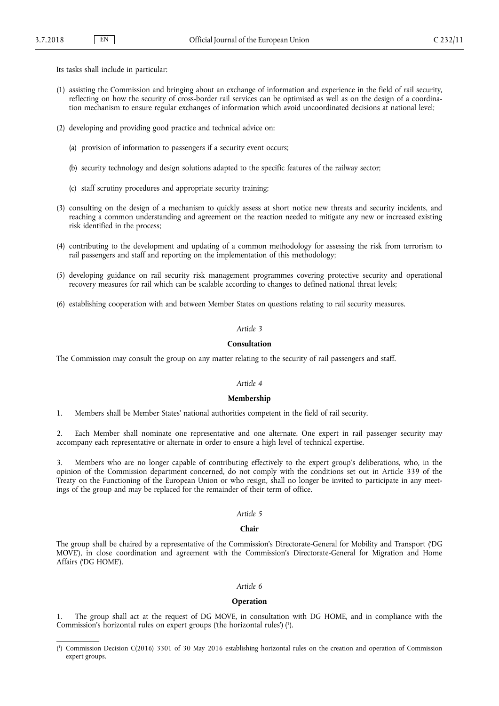Its tasks shall include in particular:

- (1) assisting the Commission and bringing about an exchange of information and experience in the field of rail security, reflecting on how the security of cross-border rail services can be optimised as well as on the design of a coordination mechanism to ensure regular exchanges of information which avoid uncoordinated decisions at national level;
- (2) developing and providing good practice and technical advice on:
	- (a) provision of information to passengers if a security event occurs;
	- (b) security technology and design solutions adapted to the specific features of the railway sector;
	- (c) staff scrutiny procedures and appropriate security training;
- (3) consulting on the design of a mechanism to quickly assess at short notice new threats and security incidents, and reaching a common understanding and agreement on the reaction needed to mitigate any new or increased existing risk identified in the process;
- (4) contributing to the development and updating of a common methodology for assessing the risk from terrorism to rail passengers and staff and reporting on the implementation of this methodology;
- (5) developing guidance on rail security risk management programmes covering protective security and operational recovery measures for rail which can be scalable according to changes to defined national threat levels;
- (6) establishing cooperation with and between Member States on questions relating to rail security measures.

### *Article 3*

# **Consultation**

The Commission may consult the group on any matter relating to the security of rail passengers and staff.

#### *Article 4*

### **Membership**

1. Members shall be Member States' national authorities competent in the field of rail security.

2. Each Member shall nominate one representative and one alternate. One expert in rail passenger security may accompany each representative or alternate in order to ensure a high level of technical expertise.

3. Members who are no longer capable of contributing effectively to the expert group's deliberations, who, in the opinion of the Commission department concerned, do not comply with the conditions set out in Article 339 of the Treaty on the Functioning of the European Union or who resign, shall no longer be invited to participate in any meetings of the group and may be replaced for the remainder of their term of office.

### *Article 5*

## **Chair**

The group shall be chaired by a representative of the Commission's Directorate-General for Mobility and Transport ('DG MOVE'), in close coordination and agreement with the Commission's Directorate-General for Migration and Home Affairs ('DG HOME').

## *Article 6*

#### **Operation**

1. The group shall act at the request of DG MOVE, in consultation with DG HOME, and in compliance with the Commission's horizontal rules on expert groups ('the horizontal rules') ( 1 ).

<sup>(</sup> 1 ) Commission Decision C(2016) 3301 of 30 May 2016 establishing horizontal rules on the creation and operation of Commission expert groups.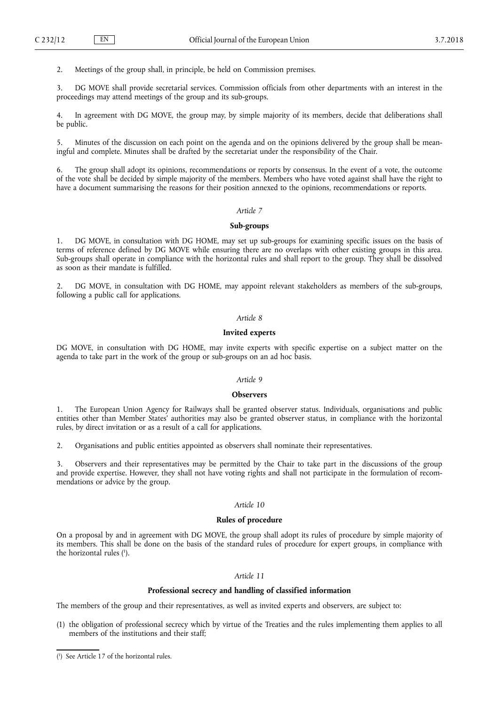2. Meetings of the group shall, in principle, be held on Commission premises.

3. DG MOVE shall provide secretarial services. Commission officials from other departments with an interest in the proceedings may attend meetings of the group and its sub-groups.

4. In agreement with DG MOVE, the group may, by simple majority of its members, decide that deliberations shall be public.

5. Minutes of the discussion on each point on the agenda and on the opinions delivered by the group shall be meaningful and complete. Minutes shall be drafted by the secretariat under the responsibility of the Chair.

6. The group shall adopt its opinions, recommendations or reports by consensus. In the event of a vote, the outcome of the vote shall be decided by simple majority of the members. Members who have voted against shall have the right to have a document summarising the reasons for their position annexed to the opinions, recommendations or reports.

### *Article 7*

### **Sub-groups**

1. DG MOVE, in consultation with DG HOME, may set up sub-groups for examining specific issues on the basis of terms of reference defined by DG MOVE while ensuring there are no overlaps with other existing groups in this area. Sub-groups shall operate in compliance with the horizontal rules and shall report to the group. They shall be dissolved as soon as their mandate is fulfilled.

DG MOVE, in consultation with DG HOME, may appoint relevant stakeholders as members of the sub-groups, following a public call for applications.

# *Article 8*

#### **Invited experts**

DG MOVE, in consultation with DG HOME, may invite experts with specific expertise on a subject matter on the agenda to take part in the work of the group or sub-groups on an ad hoc basis.

# *Article 9*

### **Observers**

1. The European Union Agency for Railways shall be granted observer status. Individuals, organisations and public entities other than Member States' authorities may also be granted observer status, in compliance with the horizontal rules, by direct invitation or as a result of a call for applications.

2. Organisations and public entities appointed as observers shall nominate their representatives.

3. Observers and their representatives may be permitted by the Chair to take part in the discussions of the group and provide expertise. However, they shall not have voting rights and shall not participate in the formulation of recommendations or advice by the group.

# *Article 10*

# **Rules of procedure**

On a proposal by and in agreement with DG MOVE, the group shall adopt its rules of procedure by simple majority of its members. This shall be done on the basis of the standard rules of procedure for expert groups, in compliance with the horizontal rules ( 1 ).

### *Article 11*

## **Professional secrecy and handling of classified information**

The members of the group and their representatives, as well as invited experts and observers, are subject to:

(1) the obligation of professional secrecy which by virtue of the Treaties and the rules implementing them applies to all members of the institutions and their staff;

<sup>(</sup> 1 ) See Article 17 of the horizontal rules.